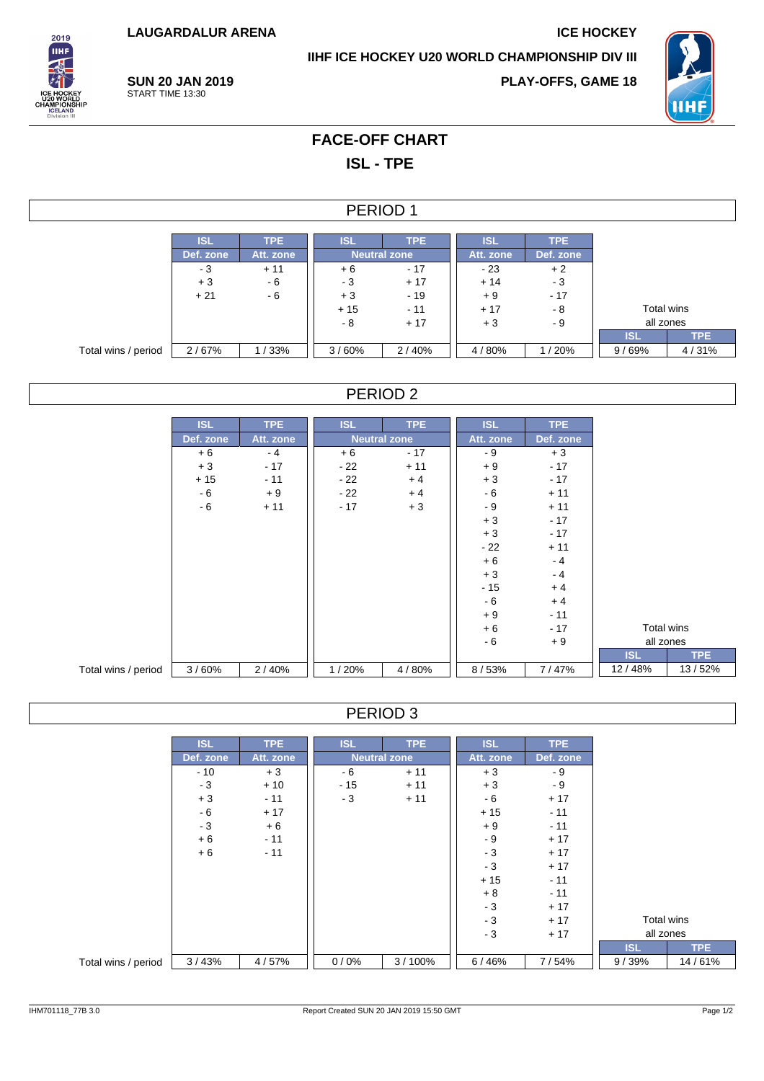**LAUGARDALUR ARENA ICE HOCKEY** 

**IIHF ICE HOCKEY U20 WORLD CHAMPIONSHIP DIV III**



**PLAY-OFFS, GAME 18**



# **FACE-OFF CHART ISL - TPE**

#### PERIOD 1

|                     | <b>ISL</b> | <b>TPE</b> | <b>ISL</b>          | <b>TPE</b> | <b>ISL</b> | <b>TPE</b> |            |            |
|---------------------|------------|------------|---------------------|------------|------------|------------|------------|------------|
|                     | Def. zone  | Att. zone  | <b>Neutral zone</b> |            | Att. zone  | Def. zone  |            |            |
|                     | - 3        | $+11$      | $+6$                | $-17$      | - 23       | $+2$       |            |            |
|                     | $+3$       | - 6        | - 3                 | $+17$      | $+14$      | - 3        |            |            |
|                     | $+21$      | - 6        | $+3$                | $-19$      | $+9$       | $-17$      |            |            |
|                     |            |            | $+15$               | $-11$      | $+17$      | - 8        | Total wins |            |
|                     |            |            | - 8                 | $+17$      | $+3$       | - 9        | all zones  |            |
|                     |            |            |                     |            |            |            | <b>ISL</b> | <b>TPE</b> |
| Total wins / period | 2/67%      | /33%       | 3/60%               | 2/40%      | 4/80%      | / 20%      | 9/69%      | 4/31%      |

### PERIOD 2

|                     | <b>ISL</b> | <b>TPE</b> | <b>ISL</b> | <b>TPE</b>          | <b>ISL</b> | <b>TPE</b> |            |  |            |            |
|---------------------|------------|------------|------------|---------------------|------------|------------|------------|--|------------|------------|
|                     |            |            |            |                     |            |            |            |  |            |            |
|                     | Def. zone  | Att. zone  |            | <b>Neutral zone</b> | Att. zone  | Def. zone  |            |  |            |            |
|                     | $+6$       | $-4$       | $+6$       | $-17$               | - 9        | $+3$       |            |  |            |            |
|                     | $+3$       | $-17$      | - 22       | $+11$               | $+9$       | $-17$      |            |  |            |            |
|                     | $+15$      | $-11$      | $-22$      | $+4$                | $+3$       | $-17$      |            |  |            |            |
|                     | - 6        | $+9$       | $-22$      | $+4$                | $-6$       | $+11$      |            |  |            |            |
|                     | - 6        | $+11$      | $-17$      | $+3$                | - 9        | $+11$      |            |  |            |            |
|                     |            |            |            |                     | $+3$       | $-17$      |            |  |            |            |
|                     |            |            |            |                     | $+3$       | $-17$      |            |  |            |            |
|                     |            |            |            |                     | $-22$      | $+11$      |            |  |            |            |
|                     |            |            |            |                     | $+6$       | $-4$       |            |  |            |            |
|                     |            |            |            |                     | $+3$       | $-4$       |            |  |            |            |
|                     |            |            |            |                     | $-15$      | $+4$       |            |  |            |            |
|                     |            |            |            |                     | $-6$       | $+4$       |            |  |            |            |
|                     |            |            |            |                     | $+9$       | $-11$      |            |  |            |            |
|                     |            |            |            |                     | $+6$       | $-17$      |            |  | Total wins |            |
|                     |            |            |            |                     | $-6$       | $+9$       |            |  | all zones  |            |
|                     |            |            |            |                     |            |            | <b>ISL</b> |  |            | <b>TPE</b> |
| Total wins / period | 3/60%      | 2/40%      | 1/20%      | 4/80%               | 8/53%      | 7/47%      | 12/48%     |  |            | 13/52%     |

## PERIOD 3

|                     | <b>ISL</b> | TPE       | <b>ISL</b> | TPE                 | <b>ISL</b><br>TPE |           |            |            |
|---------------------|------------|-----------|------------|---------------------|-------------------|-----------|------------|------------|
|                     | Def. zone  | Att. zone |            | <b>Neutral zone</b> | Att. zone         | Def. zone |            |            |
|                     | $-10$      | $+3$      | - 6        | $+11$               | $+3$              | - 9       |            |            |
|                     | $-3$       | $+10$     | $-15$      | $+11$               | $+3$              | - 9       |            |            |
|                     | $+3$       | $-11$     | - 3        | $+11$               | - 6               | $+17$     |            |            |
|                     | - 6        | $+17$     |            |                     | $+15$             | $-11$     |            |            |
|                     | $-3$       | $+6$      |            |                     | $+9$              | $-11$     |            |            |
|                     | $+6$       | $-11$     |            |                     | - 9               | $+17$     |            |            |
|                     | $+6$       | $-11$     |            |                     | $-3$              | $+17$     |            |            |
|                     |            |           |            |                     | $-3$              | $+17$     |            |            |
|                     |            |           |            |                     | $+15$             | $-11$     |            |            |
|                     |            |           |            |                     | $+8$              | $-11$     |            |            |
|                     |            |           |            |                     | $-3$              | $+17$     |            |            |
|                     |            |           |            |                     | $-3$              | $+17$     | Total wins |            |
|                     |            |           |            |                     | $-3$              | $+17$     | all zones  |            |
|                     |            |           |            |                     |                   |           | <b>ISL</b> | <b>TPE</b> |
| Total wins / period | 3/43%      | 4/57%     | 0/0%       | 3/100%              | 6/46%             | 7/54%     | 9/39%      | 14/61%     |